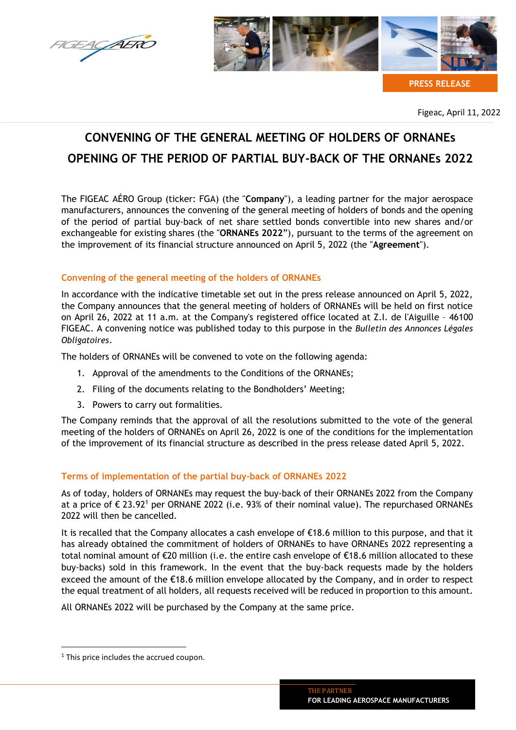AERC



**PRESS RELEASE**

Figeac, April 11, 2022

# **CONVENING OF THE GENERAL MEETING OF HOLDERS OF ORNANEs OPENING OF THE PERIOD OF PARTIAL BUY-BACK OF THE ORNANEs 2022**

The FIGEAC AÉRO Group (ticker: FGA) (the "**Company**"), a leading partner for the major aerospace manufacturers, announces the convening of the general meeting of holders of bonds and the opening of the period of partial buy-back of net share settled bonds convertible into new shares and/or exchangeable for existing shares (the "**ORNANEs 2022**"), pursuant to the terms of the agreement on the improvement of its financial structure announced on April 5, 2022 (the "**Agreement**").

# **Convening of the general meeting of the holders of ORNANEs**

In accordance with the indicative timetable set out in the press release announced on April 5, 2022, the Company announces that the general meeting of holders of ORNANEs will be held on first notice on April 26, 2022 at 11 a.m. at the Company's registered office located at Z.I. de l'Aiguille – 46100 FIGEAC. A convening notice was published today to this purpose in the *Bulletin des Annonces Légales Obligatoires*.

The holders of ORNANEs will be convened to vote on the following agenda:

- 1. Approval of the amendments to the Conditions of the ORNANEs;
- 2. Filing of the documents relating to the Bondholders' Meeting;
- 3. Powers to carry out formalities.

The Company reminds that the approval of all the resolutions submitted to the vote of the general meeting of the holders of ORNANEs on April 26, 2022 is one of the conditions for the implementation of the improvement of its financial structure as described in the press release dated April 5, 2022.

# **Terms of implementation of the partial buy-back of ORNANEs 2022**

As of today, holders of ORNANEs may request the buy-back of their ORNANEs 2022 from the Company at a price of  $\epsilon$  23.92<sup>1</sup> per ORNANE 2022 (i.e. 93% of their nominal value). The repurchased ORNANEs 2022 will then be cancelled.

It is recalled that the Company allocates a cash envelope of €18.6 million to this purpose, and that it has already obtained the commitment of holders of ORNANEs to have ORNANEs 2022 representing a total nominal amount of €20 million (i.e. the entire cash envelope of €18.6 million allocated to these buy-backs) sold in this framework. In the event that the buy-back requests made by the holders exceed the amount of the €18.6 million envelope allocated by the Company, and in order to respect the equal treatment of all holders, all requests received will be reduced in proportion to this amount.

All ORNANEs 2022 will be purchased by the Company at the same price.

 $1$  This price includes the accrued coupon.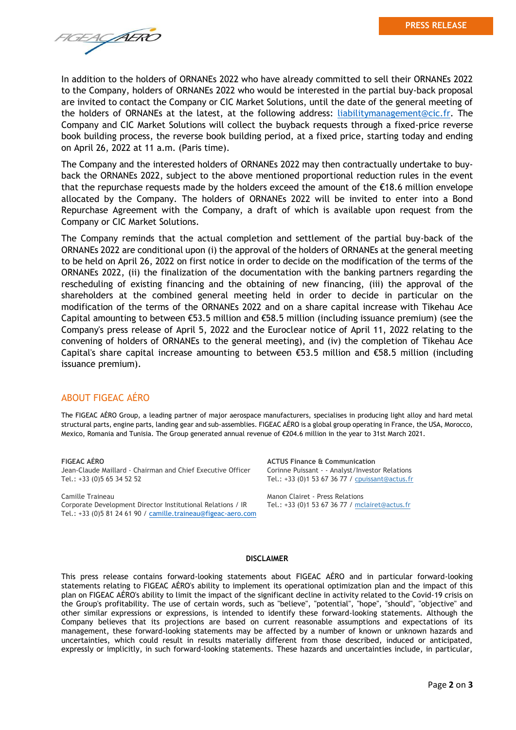**TGEAGAERO** 

In addition to the holders of ORNANEs 2022 who have already committed to sell their ORNANEs 2022 to the Company, holders of ORNANEs 2022 who would be interested in the partial buy-back proposal are invited to contact the Company or CIC Market Solutions, until the date of the general meeting of the holders of ORNANEs at the latest, at the following address: [liabilitymanagement@cic.fr.](mailto:liabilitymanagement@cic.fr) The Company and CIC Market Solutions will collect the buyback requests through a fixed-price reverse book building process, the reverse book building period, at a fixed price, starting today and ending on April 26, 2022 at 11 a.m. (Paris time).

The Company and the interested holders of ORNANEs 2022 may then contractually undertake to buyback the ORNANEs 2022, subject to the above mentioned proportional reduction rules in the event that the repurchase requests made by the holders exceed the amount of the  $\epsilon$ 18.6 million envelope allocated by the Company. The holders of ORNANEs 2022 will be invited to enter into a Bond Repurchase Agreement with the Company, a draft of which is available upon request from the Company or CIC Market Solutions.

The Company reminds that the actual completion and settlement of the partial buy-back of the ORNANEs 2022 are conditional upon (i) the approval of the holders of ORNANEs at the general meeting to be held on April 26, 2022 on first notice in order to decide on the modification of the terms of the ORNANEs 2022, (ii) the finalization of the documentation with the banking partners regarding the rescheduling of existing financing and the obtaining of new financing, (iii) the approval of the shareholders at the combined general meeting held in order to decide in particular on the modification of the terms of the ORNANEs 2022 and on a share capital increase with Tikehau Ace Capital amounting to between  $\epsilon$ 53.5 million and  $\epsilon$ 58.5 million (including issuance premium) (see the Company's press release of April 5, 2022 and the Euroclear notice of April 11, 2022 relating to the convening of holders of ORNANEs to the general meeting), and (iv) the completion of Tikehau Ace Capital's share capital increase amounting to between  $\epsilon$ 53.5 million and  $\epsilon$ 58.5 million (including issuance premium).

## ABOUT FIGEAC AÉRO

The FIGEAC AÉRO Group, a leading partner of major aerospace manufacturers, specialises in producing light alloy and hard metal structural parts, engine parts, landing gear and sub-assemblies. FIGEAC AÉRO is a global group operating in France, the USA, Morocco, Mexico, Romania and Tunisia. The Group generated annual revenue of €204.6 million in the year to 31st March 2021.

### **FIGEAC AÉRO**

Jean-Claude Maillard - Chairman and Chief Executive Officer Tel.: +33 (0)5 65 34 52 52

Camille Traineau Corporate Development Director Institutional Relations / IR Tel.: +33 (0)5 81 24 61 90 / [camille.traineau@figeac-aero.com](mailto:camille.traineau@figeac-aero.com) **ACTUS Finance & Communication** Corinne Puissant - - Analyst/Investor Relations Tel.: +33 (0)1 53 67 36 77 / [cpuissant@actus.fr](mailto:cpuissant@actus.fr)

Manon Clairet - Press Relations Tel.: +33 (0)1 53 67 36 77 / [mclairet@actus.fr](mailto:mclairet@actus.fr)

#### **DISCLAIMER**

This press release contains forward-looking statements about FIGEAC AÉRO and in particular forward-looking statements relating to FIGEAC AÉRO's ability to implement its operational optimization plan and the impact of this plan on FIGEAC AÉRO's ability to limit the impact of the significant decline in activity related to the Covid-19 crisis on the Group's profitability. The use of certain words, such as "believe", "potential", "hope", "should", "objective" and other similar expressions or expressions, is intended to identify these forward-looking statements. Although the Company believes that its projections are based on current reasonable assumptions and expectations of its management, these forward-looking statements may be affected by a number of known or unknown hazards and uncertainties, which could result in results materially different from those described, induced or anticipated, expressly or implicitly, in such forward-looking statements. These hazards and uncertainties include, in particular,